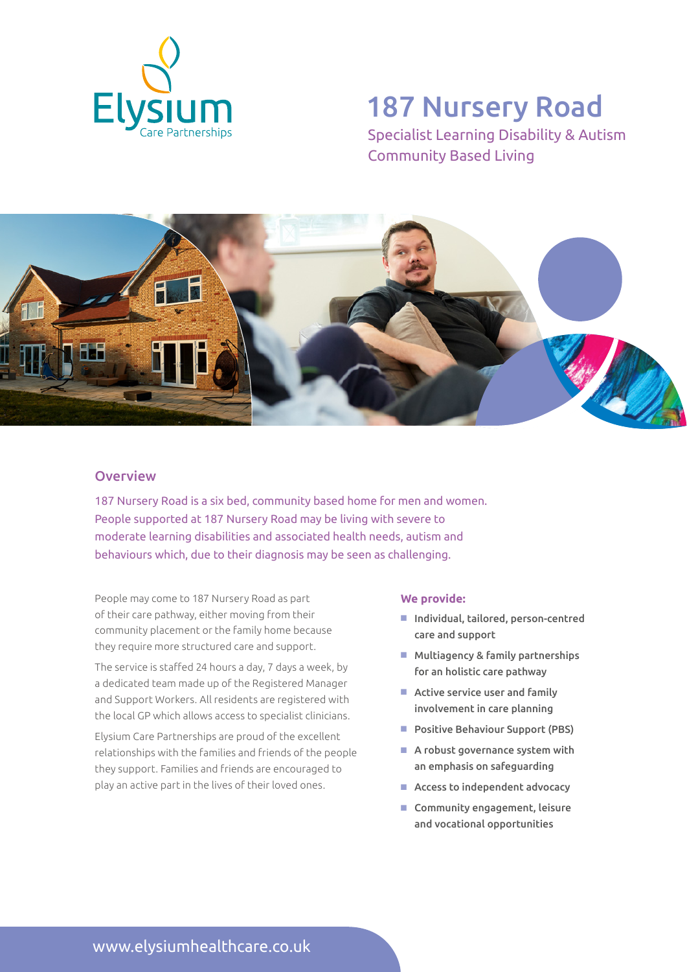

# 187 Nursery Road

Specialist Learning Disability & Autism Community Based Living



### **Overview**

187 Nursery Road is a six bed, community based home for men and women. People supported at 187 Nursery Road may be living with severe to moderate learning disabilities and associated health needs, autism and behaviours which, due to their diagnosis may be seen as challenging.

People may come to 187 Nursery Road as part of their care pathway, either moving from their community placement or the family home because they require more structured care and support.

The service is staffed 24 hours a day, 7 days a week, by a dedicated team made up of the Registered Manager and Support Workers. All residents are registered with the local GP which allows access to specialist clinicians.

Elysium Care Partnerships are proud of the excellent relationships with the families and friends of the people they support. Families and friends are encouraged to play an active part in the lives of their loved ones.

#### **We provide:**

- Individual, tailored, person-centred care and support
- $M$  Multiagency & family partnerships for an holistic care pathway
- $\blacksquare$  Active service user and family involvement in care planning
- Positive Behaviour Support (PBS)
- $\blacksquare$  A robust governance system with an emphasis on safeguarding
- $\blacksquare$  Access to independent advocacy
- $\blacksquare$  Community engagement, leisure and vocational opportunities

www.elysiumhealthcare.co.uk